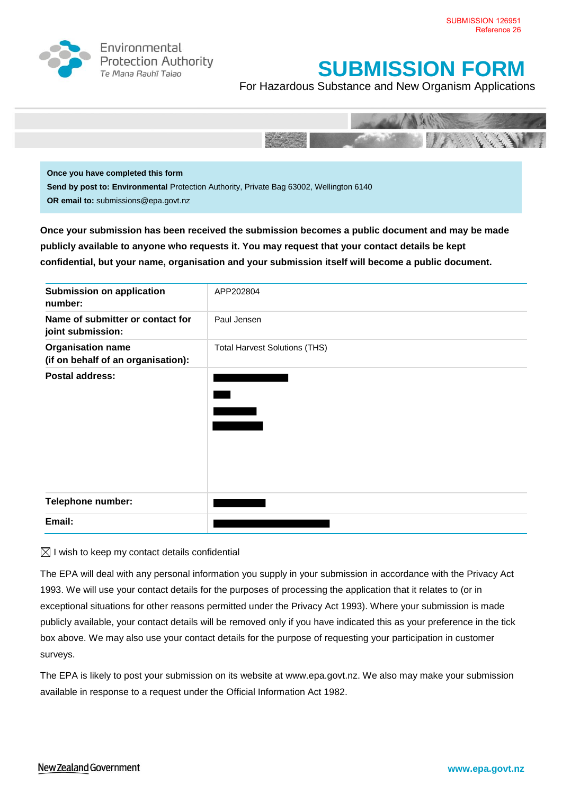

Environmental **Protection Authority** Te Mana Rauhī Tajao

# **SUBMISSION FORM**

For Hazardous Substance and New Organism Applications



**Once you have completed this form Send by post to: Environmental** Protection Authority, Private Bag 63002, Wellington 6140 **OR email to:** submissions@epa.govt.nz

**Once your submission has been received the submission becomes a public document and may be made publicly available to anyone who requests it. You may request that your contact details be kept confidential, but your name, organisation and your submission itself will become a public document.**

| <b>Submission on application</b><br>number:                    | APP202804                            |
|----------------------------------------------------------------|--------------------------------------|
| Name of submitter or contact for<br>joint submission:          | Paul Jensen                          |
| <b>Organisation name</b><br>(if on behalf of an organisation): | <b>Total Harvest Solutions (THS)</b> |
| <b>Postal address:</b>                                         |                                      |
| Telephone number:                                              |                                      |
| Email:                                                         |                                      |

 $\boxtimes$  I wish to keep my contact details confidential

The EPA will deal with any personal information you supply in your submission in accordance with the Privacy Act 1993. We will use your contact details for the purposes of processing the application that it relates to (or in exceptional situations for other reasons permitted under the Privacy Act 1993). Where your submission is made publicly available, your contact details will be removed only if you have indicated this as your preference in the tick box above. We may also use your contact details for the purpose of requesting your participation in customer surveys.

The EPA is likely to post your submission on its website at [www.epa.govt.nz.](http://www.ermanz.govt.nz/) We also may make your submission available in response to a request under the Official Information Act 1982.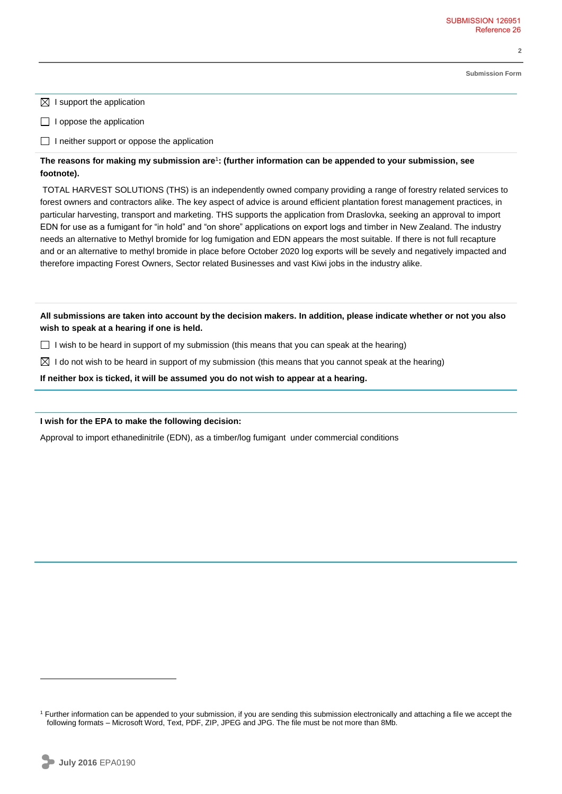**Submission Form**

**2**

 $\boxtimes$  I support the application

 $\Box$  I oppose the application

 $\Box$  I neither support or oppose the application

# **The reasons for making my submission are**<sup>1</sup> **: (further information can be appended to your submission, see footnote).**

TOTAL HARVEST SOLUTIONS (THS) is an independently owned company providing a range of forestry related services to forest owners and contractors alike. The key aspect of advice is around efficient plantation forest management practices, in particular harvesting, transport and marketing. THS supports the application from Draslovka, seeking an approval to import EDN for use as a fumigant for "in hold" and "on shore" applications on export logs and timber in New Zealand. The industry needs an alternative to Methyl bromide for log fumigation and EDN appears the most suitable. If there is not full recapture and or an alternative to methyl bromide in place before October 2020 log exports will be sevely and negatively impacted and therefore impacting Forest Owners, Sector related Businesses and vast Kiwi jobs in the industry alike.

**All submissions are taken into account by the decision makers. In addition, please indicate whether or not you also wish to speak at a hearing if one is held.**

 $\Box$  I wish to be heard in support of my submission (this means that you can speak at the hearing)

 $\boxtimes$  I do not wish to be heard in support of my submission (this means that you cannot speak at the hearing)

**If neither box is ticked, it will be assumed you do not wish to appear at a hearing.**

#### **I wish for the EPA to make the following decision:**

Approval to import ethanedinitrile (EDN), as a timber/log fumigant under commercial conditions

 $\overline{a}$ 

<sup>1</sup> Further information can be appended to your submission, if you are sending this submission electronically and attaching a file we accept the following formats – Microsoft Word, Text, PDF, ZIP, JPEG and JPG. The file must be not more than 8Mb.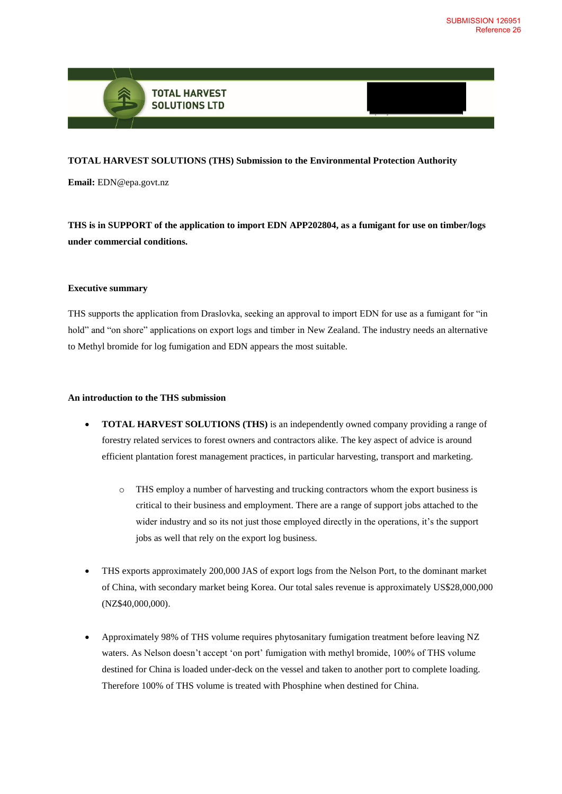

# **TOTAL HARVEST SOLUTIONS (THS) Submission to the Environmental Protection Authority**

**Email:** EDN@epa.govt.nz

**THS is in SUPPORT of the application to import EDN APP202804, as a fumigant for use on timber/logs under commercial conditions.**

#### **Executive summary**

THS supports the application from Draslovka, seeking an approval to import EDN for use as a fumigant for "in hold" and "on shore" applications on export logs and timber in New Zealand. The industry needs an alternative to Methyl bromide for log fumigation and EDN appears the most suitable.

## **An introduction to the THS submission**

- **TOTAL HARVEST SOLUTIONS (THS)** is an independently owned company providing a range of forestry related services to forest owners and contractors alike. The key aspect of advice is around efficient plantation forest management practices, in particular harvesting, transport and marketing.
	- o THS employ a number of harvesting and trucking contractors whom the export business is critical to their business and employment. There are a range of support jobs attached to the wider industry and so its not just those employed directly in the operations, it's the support jobs as well that rely on the export log business.
- THS exports approximately 200,000 JAS of export logs from the Nelson Port, to the dominant market of China, with secondary market being Korea. Our total sales revenue is approximately US\$28,000,000 (NZ\$40,000,000).
- Approximately 98% of THS volume requires phytosanitary fumigation treatment before leaving NZ waters. As Nelson doesn't accept 'on port' fumigation with methyl bromide, 100% of THS volume destined for China is loaded under-deck on the vessel and taken to another port to complete loading. Therefore 100% of THS volume is treated with Phosphine when destined for China.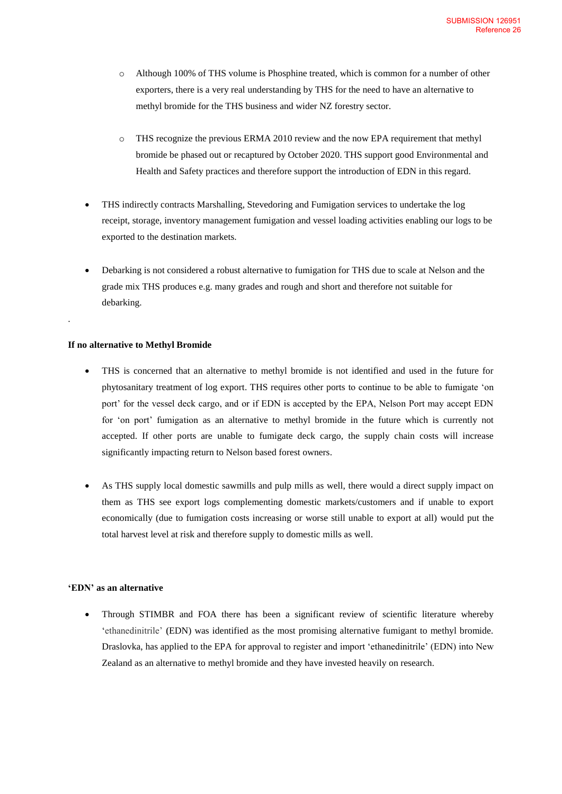- o Although 100% of THS volume is Phosphine treated, which is common for a number of other exporters, there is a very real understanding by THS for the need to have an alternative to methyl bromide for the THS business and wider NZ forestry sector.
- o THS recognize the previous ERMA 2010 review and the now EPA requirement that methyl bromide be phased out or recaptured by October 2020. THS support good Environmental and Health and Safety practices and therefore support the introduction of EDN in this regard.
- THS indirectly contracts Marshalling, Stevedoring and Fumigation services to undertake the log receipt, storage, inventory management fumigation and vessel loading activities enabling our logs to be exported to the destination markets.
- Debarking is not considered a robust alternative to fumigation for THS due to scale at Nelson and the grade mix THS produces e.g. many grades and rough and short and therefore not suitable for debarking.

## **If no alternative to Methyl Bromide**

.

- THS is concerned that an alternative to methyl bromide is not identified and used in the future for phytosanitary treatment of log export. THS requires other ports to continue to be able to fumigate 'on port' for the vessel deck cargo, and or if EDN is accepted by the EPA, Nelson Port may accept EDN for 'on port' fumigation as an alternative to methyl bromide in the future which is currently not accepted. If other ports are unable to fumigate deck cargo, the supply chain costs will increase significantly impacting return to Nelson based forest owners.
- As THS supply local domestic sawmills and pulp mills as well, there would a direct supply impact on them as THS see export logs complementing domestic markets/customers and if unable to export economically (due to fumigation costs increasing or worse still unable to export at all) would put the total harvest level at risk and therefore supply to domestic mills as well.

#### **'EDN' as an alternative**

• Through STIMBR and FOA there has been a significant review of scientific literature whereby 'ethanedinitrile' **(**EDN) was identified as the most promising alternative fumigant to methyl bromide. Draslovka, has applied to the EPA for approval to register and import 'ethanedinitrile' (EDN) into New Zealand as an alternative to methyl bromide and they have invested heavily on research.